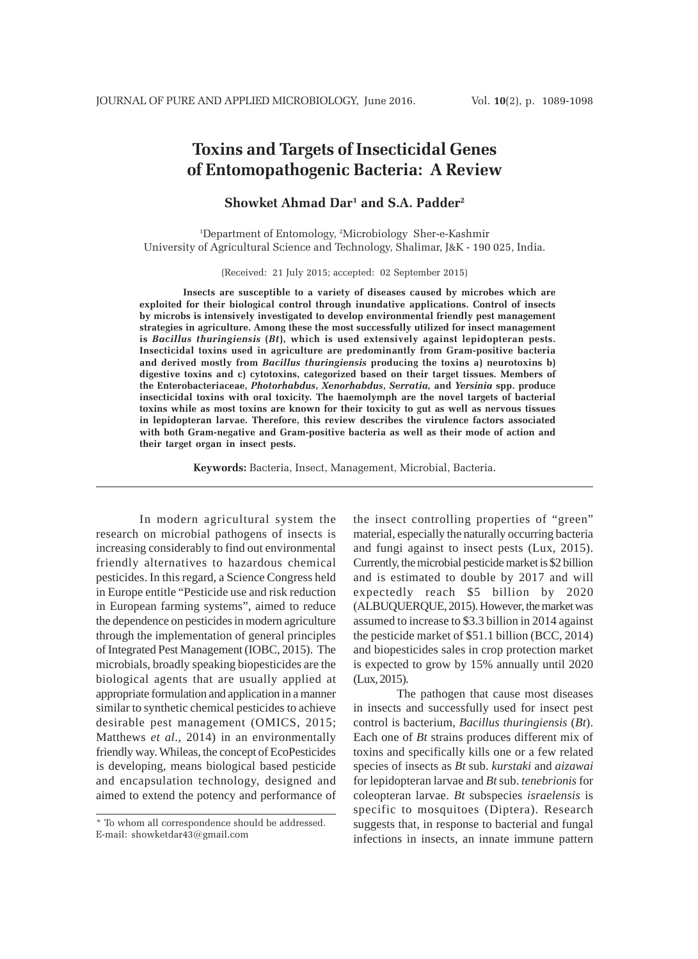# **Toxins and Targets of Insecticidal Genes of Entomopathogenic Bacteria: A Review**

# **Showket Ahmad Dar1 and S.A. Padder2**

1 Department of Entomology, 2 Microbiology Sher-e-Kashmir University of Agricultural Science and Technology, Shalimar, J&K - 190 025, India.

(Received: 21 July 2015; accepted: 02 September 2015)

**Insects are susceptible to a variety of diseases caused by microbes which are exploited for their biological control through inundative applications. Control of insects by microbs is intensively investigated to develop environmental friendly pest management strategies in agriculture. Among these the most successfully utilized for insect management is** *Bacillus thuringiensis* **(***Bt***), which is used extensively against lepidopteran pests. Insecticidal toxins used in agriculture are predominantly from Gram-positive bacteria and derived mostly from** *Bacillus thuringiensis* **producing the toxins a) neurotoxins b) digestive toxins and c) cytotoxins, categorized based on their target tissues. Members of the Enterobacteriaceae,** *Photorhabdus***,** *Xenorhabdus***,** *Serratia,* **and** *Yersinia* **spp. produce insecticidal toxins with oral toxicity. The haemolymph are the novel targets of bacterial toxins while as most toxins are known for their toxicity to gut as well as nervous tissues in lepidopteran larvae. Therefore, this review describes the virulence factors associated with both Gram-negative and Gram-positive bacteria as well as their mode of action and their target organ in insect pests.**

**Keywords:** Bacteria, Insect, Management, Microbial, Bacteria.

In modern agricultural system the research on microbial pathogens of insects is increasing considerably to find out environmental friendly alternatives to hazardous chemical pesticides. In this regard, a Science Congress held in Europe entitle "Pesticide use and risk reduction in European farming systems", aimed to reduce the dependence on pesticides in modern agriculture through the implementation of general principles of Integrated Pest Management (IOBC, 2015). The microbials, broadly speaking biopesticides are the biological agents that are usually applied at appropriate formulation and application in a manner similar to synthetic chemical pesticides to achieve desirable pest management (OMICS, 2015; Matthews *et al*., 2014) in an environmentally friendly way. Whileas, the concept of EcoPesticides is developing, means biological based pesticide and encapsulation technology, designed and aimed to extend the potency and performance of the insect controlling properties of "green" material, especially the naturally occurring bacteria and fungi against to insect pests (Lux, 2015). Currently, the microbial pesticide market is \$2 billion and is estimated to double by 2017 and will expectedly reach \$5 billion by 2020 (ALBUQUERQUE, 2015). However, the market was assumed to increase to \$3.3 billion in 2014 against the pesticide market of \$51.1 billion (BCC, 2014) and biopesticides sales in crop protection market is expected to grow by 15% annually until 2020 (Lux, 2015).

The pathogen that cause most diseases in insects and successfully used for insect pest control is bacterium, *Bacillus thuringiensis* (*Bt*). Each one of *Bt* strains produces different mix of toxins and specifically kills one or a few related species of insects as *Bt* sub. *kurstaki* and *aizawai* for lepidopteran larvae and *Bt* sub. *tenebrionis* for coleopteran larvae. *Bt* subspecies *israelensis* is specific to mosquitoes (Diptera). Research suggests that, in response to bacterial and fungal infections in insects, an innate immune pattern

<sup>\*</sup> To whom all correspondence should be addressed. E-mail: showketdar43@gmail.com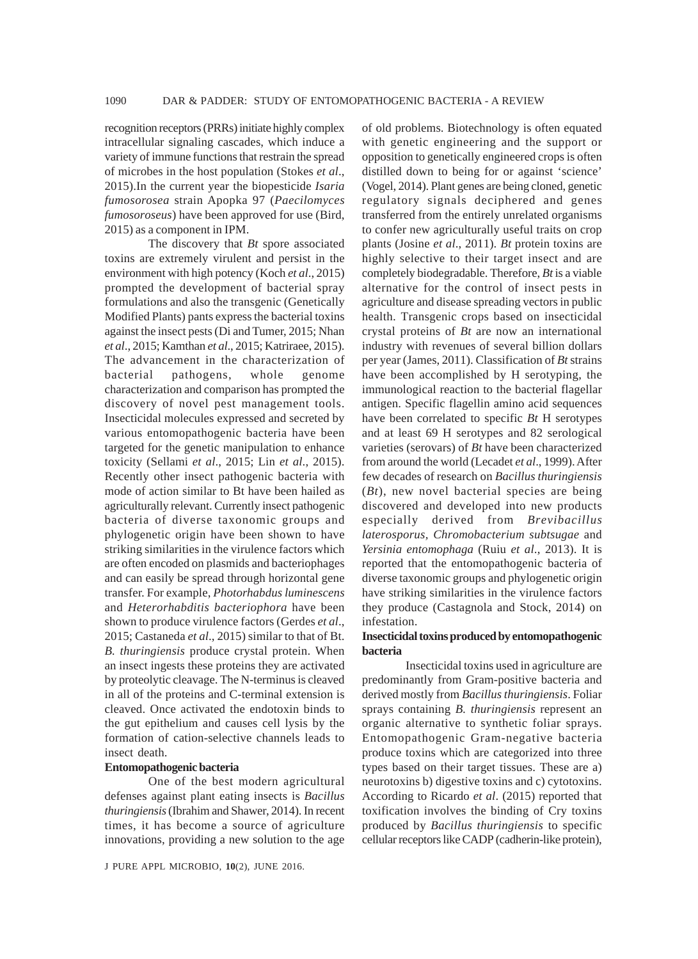recognition receptors (PRRs) initiate highly complex intracellular signaling cascades, which induce a variety of immune functions that restrain the spread of microbes in the host population (Stokes *et al*., 2015).In the current year the biopesticide *Isaria fumosorosea* strain Apopka 97 (*Paecilomyces fumosoroseus*) have been approved for use (Bird, 2015) as a component in IPM.

The discovery that *Bt* spore associated toxins are extremely virulent and persist in the environment with high potency (Koch *et al*., 2015) prompted the development of bacterial spray formulations and also the transgenic (Genetically Modified Plants) pants express the bacterial toxins against the insect pests (Di and Tumer, 2015; Nhan *et al*., 2015; Kamthan *et al*., 2015; Katriraee, 2015). The advancement in the characterization of bacterial pathogens, whole genome characterization and comparison has prompted the discovery of novel pest management tools. Insecticidal molecules expressed and secreted by various entomopathogenic bacteria have been targeted for the genetic manipulation to enhance toxicity (Sellami *et al*., 2015; Lin *et al*., 2015). Recently other insect pathogenic bacteria with mode of action similar to Bt have been hailed as agriculturally relevant. Currently insect pathogenic bacteria of diverse taxonomic groups and phylogenetic origin have been shown to have striking similarities in the virulence factors which are often encoded on plasmids and bacteriophages and can easily be spread through horizontal gene transfer. For example, *Photorhabdus luminescens* and *Heterorhabditis bacteriophora* have been shown to produce virulence factors (Gerdes *et al*., 2015; Castaneda *et al*., 2015) similar to that of Bt. *B. thuringiensis* produce crystal protein. When an insect ingests these proteins they are activated by proteolytic cleavage. The N-terminus is cleaved in all of the proteins and C-terminal extension is cleaved. Once activated the endotoxin binds to the gut epithelium and causes cell lysis by the formation of cation-selective channels leads to insect death.

## **Entomopathogenic bacteria**

One of the best modern agricultural defenses against plant eating insects is *Bacillus thuringiensis* (Ibrahim and Shawer, 2014). In recent times, it has become a source of agriculture innovations, providing a new solution to the age of old problems. Biotechnology is often equated with genetic engineering and the support or opposition to genetically engineered crops is often distilled down to being for or against 'science' (Vogel, 2014). Plant genes are being cloned, genetic regulatory signals deciphered and genes transferred from the entirely unrelated organisms to confer new agriculturally useful traits on crop plants (Josine *et al*., 2011). *Bt* protein toxins are highly selective to their target insect and are completely biodegradable. Therefore, *Bt* is a viable alternative for the control of insect pests in agriculture and disease spreading vectors in public health. Transgenic crops based on insecticidal crystal proteins of *Bt* are now an international industry with revenues of several billion dollars per year (James, 2011). Classification of *Bt* strains have been accomplished by H serotyping, the immunological reaction to the bacterial flagellar antigen. Specific flagellin amino acid sequences have been correlated to specific *Bt* H serotypes and at least 69 H serotypes and 82 serological varieties (serovars) of *Bt* have been characterized from around the world (Lecadet *et al*., 1999). After few decades of research on *Bacillus thuringiensis* (*Bt*), new novel bacterial species are being discovered and developed into new products especially derived from *Brevibacillus laterosporus, Chromobacterium subtsugae* and *Yersinia entomophaga* (Ruiu *et al*., 2013). It is reported that the entomopathogenic bacteria of diverse taxonomic groups and phylogenetic origin have striking similarities in the virulence factors they produce (Castagnola and Stock, 2014) on infestation.

#### **Insecticidal toxins produced by entomopathogenic bacteria**

Insecticidal toxins used in agriculture are predominantly from Gram-positive bacteria and derived mostly from *Bacillus thuringiensis*. Foliar sprays containing *B. thuringiensis* represent an organic alternative to synthetic foliar sprays. Entomopathogenic Gram-negative bacteria produce toxins which are categorized into three types based on their target tissues. These are a) neurotoxins b) digestive toxins and c) cytotoxins. According to Ricardo *et al*. (2015) reported that toxification involves the binding of Cry toxins produced by *Bacillus thuringiensis* to specific cellular receptors like CADP (cadherin-like protein),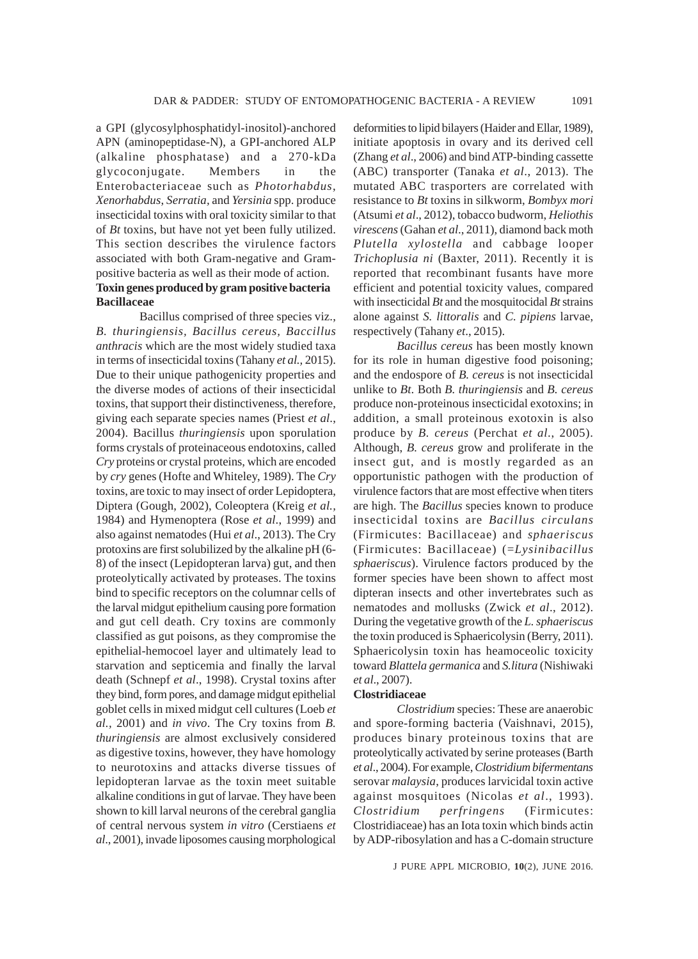a GPI (glycosylphosphatidyl-inositol)-anchored APN (aminopeptidase-N), a GPI-anchored ALP (alkaline phosphatase) and a 270-kDa glycoconjugate. Members in the Enterobacteriaceae such as *Photorhabdus*, *Xenorhabdus*, *Serratia,* and *Yersinia* spp. produce insecticidal toxins with oral toxicity similar to that of *Bt* toxins, but have not yet been fully utilized. This section describes the virulence factors associated with both Gram-negative and Grampositive bacteria as well as their mode of action. **Toxin genes produced by gram positive bacteria Bacillaceae**

Bacillus comprised of three species viz., *B. thuringiensis, Bacillus cereus, Baccillus anthracis* which are the most widely studied taxa in terms of insecticidal toxins (Tahany *et al.,* 2015). Due to their unique pathogenicity properties and the diverse modes of actions of their insecticidal toxins, that support their distinctiveness, therefore, giving each separate species names (Priest *et al*., 2004). Bacillus *thuringiensis* upon sporulation forms crystals of proteinaceous endotoxins, called *Cry* proteins or crystal proteins, which are encoded by *cry* genes (Hofte and Whiteley, 1989). The *Cry* toxins, are toxic to may insect of order Lepidoptera, Diptera (Gough, 2002), Coleoptera (Kreig *et al.,* 1984) and Hymenoptera (Rose *et al*., 1999) and also against nematodes (Hui *et al*., 2013). The Cry protoxins are first solubilized by the alkaline pH (6- 8) of the insect (Lepidopteran larva) gut, and then proteolytically activated by proteases. The toxins bind to specific receptors on the columnar cells of the larval midgut epithelium causing pore formation and gut cell death. Cry toxins are commonly classified as gut poisons, as they compromise the epithelial-hemocoel layer and ultimately lead to starvation and septicemia and finally the larval death (Schnepf *et al*., 1998). Crystal toxins after they bind, form pores, and damage midgut epithelial goblet cells in mixed midgut cell cultures (Loeb *et al.,* 2001) and *in vivo*. The Cry toxins from *B. thuringiensis* are almost exclusively considered as digestive toxins, however, they have homology to neurotoxins and attacks diverse tissues of lepidopteran larvae as the toxin meet suitable alkaline conditions in gut of larvae. They have been shown to kill larval neurons of the cerebral ganglia of central nervous system *in vitro* (Cerstiaens *et al*., 2001), invade liposomes causing morphological deformities to lipid bilayers (Haider and Ellar, 1989), initiate apoptosis in ovary and its derived cell (Zhang *et al*., 2006) and bind ATP-binding cassette (ABC) transporter (Tanaka *et al*., 2013). The mutated ABC trasporters are correlated with resistance to *Bt* toxins in silkworm, *Bombyx mori* (Atsumi *et al*., 2012), tobacco budworm, *Heliothis virescens* (Gahan *et al*., 2011), diamond back moth *Plutella xylostella* and cabbage looper *Trichoplusia ni* (Baxter, 2011). Recently it is reported that recombinant fusants have more efficient and potential toxicity values, compared with insecticidal *Bt* and the mosquitocidal *Bt* strains alone against *S. littoralis* and *C. pipiens* larvae, respectively (Tahany *et*., 2015).

*Bacillus cereus* has been mostly known for its role in human digestive food poisoning; and the endospore of *B. cereus* is not insecticidal unlike to *Bt*. Both *B. thuringiensis* and *B. cereus* produce non-proteinous insecticidal exotoxins; in addition, a small proteinous exotoxin is also produce by *B. cereus* (Perchat *et al*., 2005). Although, *B. cereus* grow and proliferate in the insect gut, and is mostly regarded as an opportunistic pathogen with the production of virulence factors that are most effective when titers are high. The *Bacillus* species known to produce insecticidal toxins are *Bacillus circulans* (Firmicutes: Bacillaceae) and *sphaeriscus* (Firmicutes: Bacillaceae) (=*Lysinibacillus sphaeriscus*). Virulence factors produced by the former species have been shown to affect most dipteran insects and other invertebrates such as nematodes and mollusks (Zwick *et al*., 2012). During the vegetative growth of the *L. sphaeriscus* the toxin produced is Sphaericolysin (Berry, 2011). Sphaericolysin toxin has heamoceolic toxicity toward *Blattela germanica* and *S.litura* (Nishiwaki *et al*., 2007).

## **Clostridiaceae**

*Clostridium* species: These are anaerobic and spore-forming bacteria (Vaishnavi, 2015), produces binary proteinous toxins that are proteolytically activated by serine proteases (Barth *et al*., 2004). For example, *Clostridium bifermentans* serovar *malaysia*, produces larvicidal toxin active against mosquitoes (Nicolas *et al*., 1993). *Clostridium perfringens* (Firmicutes: Clostridiaceae) has an Iota toxin which binds actin by ADP-ribosylation and has a C-domain structure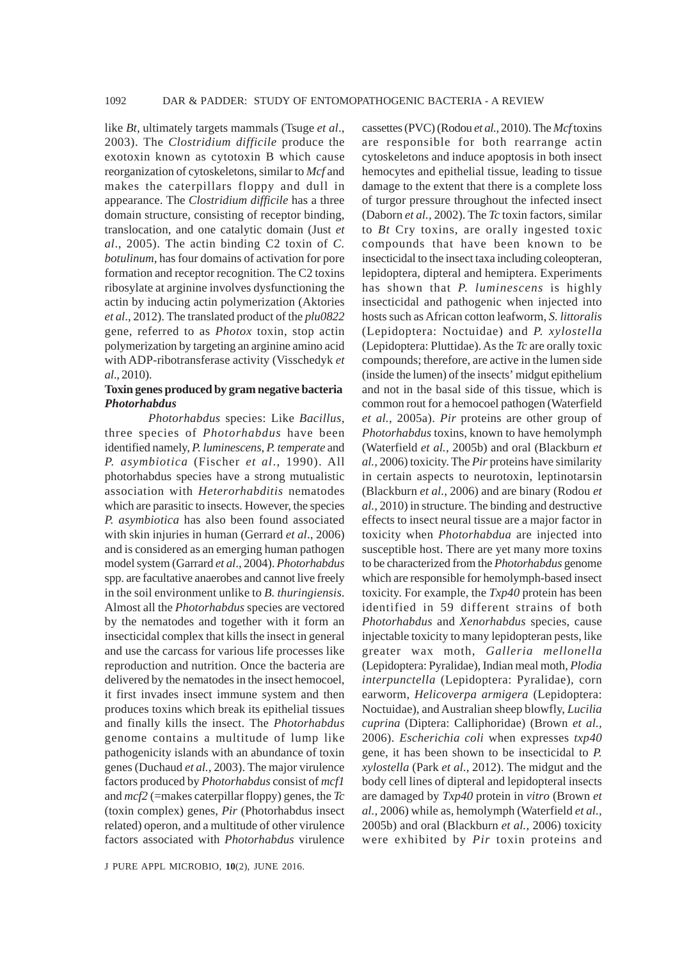like *Bt,* ultimately targets mammals (Tsuge *et al*., 2003). The *Clostridium difficile* produce the exotoxin known as cytotoxin B which cause reorganization of cytoskeletons, similar to *Mcf* and makes the caterpillars floppy and dull in appearance. The *Clostridium difficile* has a three domain structure, consisting of receptor binding, translocation, and one catalytic domain (Just *et al*., 2005). The actin binding C2 toxin of *C. botulinum*, has four domains of activation for pore formation and receptor recognition. The C2 toxins ribosylate at arginine involves dysfunctioning the actin by inducing actin polymerization (Aktories *et al*., 2012). The translated product of the *plu0822* gene, referred to as *Photox* toxin, stop actin polymerization by targeting an arginine amino acid with ADP-ribotransferase activity (Visschedyk *et al*., 2010).

#### **Toxin genes produced by gram negative bacteria** *Photorhabdus*

*Photorhabdus* species: Like *Bacillus,* three species of *Photorhabdus* have been identified namely, *P. luminescens*, *P. temperate* and *P. asymbiotica* (Fischer *et al*., 1990). All photorhabdus species have a strong mutualistic association with *Heterorhabditis* nematodes which are parasitic to insects. However, the species *P. asymbiotica* has also been found associated with skin injuries in human (Gerrard *et al*., 2006) and is considered as an emerging human pathogen model system (Garrard *et al*., 2004). *Photorhabdus* spp. are facultative anaerobes and cannot live freely in the soil environment unlike to *B. thuringiensis*. Almost all the *Photorhabdus* species are vectored by the nematodes and together with it form an insecticidal complex that kills the insect in general and use the carcass for various life processes like reproduction and nutrition. Once the bacteria are delivered by the nematodes in the insect hemocoel, it first invades insect immune system and then produces toxins which break its epithelial tissues and finally kills the insect. The *Photorhabdus* genome contains a multitude of lump like pathogenicity islands with an abundance of toxin genes (Duchaud *et al.*, 2003). The major virulence factors produced by *Photorhabdus* consist of *mcf1* and *mcf2* (=makes caterpillar floppy) genes, the *Tc* (toxin complex) genes, *Pir* (Photorhabdus insect related) operon, and a multitude of other virulence factors associated with *Photorhabdus* virulence cassettes (PVC) (Rodou *et al.,* 2010). The *Mcf* toxins are responsible for both rearrange actin cytoskeletons and induce apoptosis in both insect hemocytes and epithelial tissue, leading to tissue damage to the extent that there is a complete loss of turgor pressure throughout the infected insect (Daborn *et al.,* 2002). The *Tc* toxin factors, similar to *Bt* Cry toxins, are orally ingested toxic compounds that have been known to be insecticidal to the insect taxa including coleopteran, lepidoptera, dipteral and hemiptera. Experiments has shown that *P. luminescens* is highly insecticidal and pathogenic when injected into hosts such as African cotton leafworm, *S. littoralis* (Lepidoptera: Noctuidae) and *P. xylostella* (Lepidoptera: Pluttidae). As the *Tc* are orally toxic compounds; therefore, are active in the lumen side (inside the lumen) of the insects' midgut epithelium and not in the basal side of this tissue, which is common rout for a hemocoel pathogen (Waterfield *et al.*, 2005a). *Pir* proteins are other group of *Photorhabdus* toxins, known to have hemolymph (Waterfield *et al.,* 2005b) and oral (Blackburn *et al.,* 2006) toxicity. The *Pir* proteins have similarity in certain aspects to neurotoxin, leptinotarsin (Blackburn *et al.,* 2006) and are binary (Rodou *et al.,* 2010) in structure. The binding and destructive effects to insect neural tissue are a major factor in toxicity when *Photorhabdua* are injected into susceptible host. There are yet many more toxins to be characterized from the *Photorhabdus* genome which are responsible for hemolymph-based insect toxicity. For example, the *Txp40* protein has been identified in 59 different strains of both *Photorhabdus* and *Xenorhabdus* species, cause injectable toxicity to many lepidopteran pests, like greater wax moth, *Galleria mellonella* (Lepidoptera: Pyralidae), Indian meal moth, *Plodia interpunctella* (Lepidoptera: Pyralidae), corn earworm, *Helicoverpa armigera* (Lepidoptera: Noctuidae), and Australian sheep blowfly, *Lucilia cuprina* (Diptera: Calliphoridae) (Brown *et al.,* 2006). *Escherichia coli* when expresses *txp40* gene, it has been shown to be insecticidal to *P. xylostella* (Park *et al.,* 2012). The midgut and the body cell lines of dipteral and lepidopteral insects are damaged by *Txp40* protein in *vitro* (Brown *et al.,* 2006) while as, hemolymph (Waterfield *et al.,* 2005b) and oral (Blackburn *et al.,* 2006) toxicity were exhibited by *Pir* toxin proteins and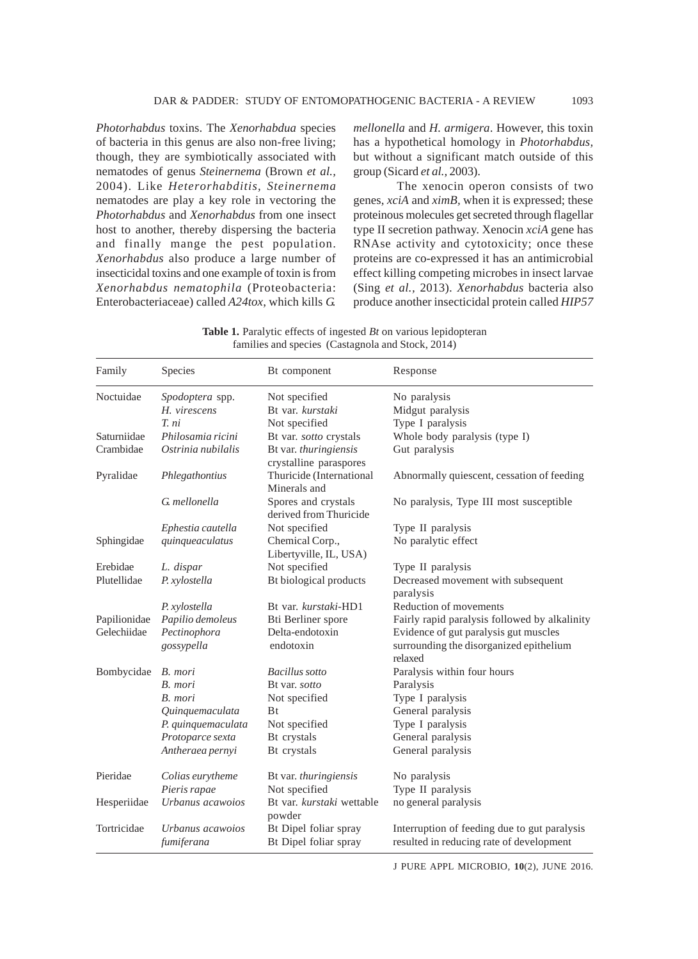*Photorhabdus* toxins. The *Xenorhabdua* species of bacteria in this genus are also non-free living; though, they are symbiotically associated with nematodes of genus *Steinernema* (Brown *et al.,* 2004). Like *Heterorhabditis, Steinernema* nematodes are play a key role in vectoring the *Photorhabdus* and *Xenorhabdus* from one insect host to another, thereby dispersing the bacteria and finally mange the pest population. *Xenorhabdus* also produce a large number of insecticidal toxins and one example of toxin is from *Xenorhabdus nematophila* (Proteobacteria: Enterobacteriaceae) called *A24tox*, which kills *G.*

*mellonella* and *H. armigera*. However, this toxin has a hypothetical homology in *Photorhabdus,* but without a significant match outside of this group (Sicard *et al.,* 2003).

The xenocin operon consists of two genes, *xciA* and *ximB,* when it is expressed; these proteinous molecules get secreted through flagellar type II secretion pathway. Xenocin *xciA* gene has RNAse activity and cytotoxicity; once these proteins are co-expressed it has an antimicrobial effect killing competing microbes in insect larvae (Sing *et al.,* 2013). *Xenorhabdus* bacteria also produce another insecticidal protein called *HIP57*

**Table 1.** Paralytic effects of ingested *Bt* on various lepidopteran families and species (Castagnola and Stock, 2014)

| Family       | Species                        | Bt component                                    | Response                                                                                 |  |
|--------------|--------------------------------|-------------------------------------------------|------------------------------------------------------------------------------------------|--|
| Noctuidae    | Spodoptera spp.                | Not specified                                   | No paralysis                                                                             |  |
|              | H. virescens                   | Bt var. kurstaki                                | Midgut paralysis                                                                         |  |
|              | T. ni                          | Not specified                                   | Type I paralysis                                                                         |  |
| Saturniidae  | Philosamia ricini              | Bt var. sotto crystals                          | Whole body paralysis (type I)                                                            |  |
| Crambidae    | Ostrinia nubilalis             | Bt var. thuringiensis<br>crystalline paraspores | Gut paralysis                                                                            |  |
| Pyralidae    | Phlegathontius                 | Thuricide (International<br>Minerals and        | Abnormally quiescent, cessation of feeding                                               |  |
|              | G. mellonella                  | Spores and crystals<br>derived from Thuricide   | No paralysis, Type III most susceptible                                                  |  |
|              | Ephestia cautella              | Not specified                                   | Type II paralysis                                                                        |  |
| Sphingidae   | quinqueaculatus                | Chemical Corp.,<br>Libertyville, IL, USA)       | No paralytic effect                                                                      |  |
| Erebidae     | L. dispar                      | Not specified                                   | Type II paralysis                                                                        |  |
| Plutellidae  | P. xylostella                  | Bt biological products                          | Decreased movement with subsequent<br>paralysis                                          |  |
|              | P. xylostella                  | Bt var. kurstaki-HD1                            | Reduction of movements                                                                   |  |
| Papilionidae | Papilio demoleus               | Bti Berliner spore                              | Fairly rapid paralysis followed by alkalinity                                            |  |
| Gelechiidae  | Pectinophora                   | Delta-endotoxin                                 | Evidence of gut paralysis gut muscles                                                    |  |
|              | gossypella                     | endotoxin                                       | surrounding the disorganized epithelium<br>relaxed                                       |  |
| Bombycidae   | B. mori                        | <b>Bacillus</b> sotto                           | Paralysis within four hours                                                              |  |
|              | B. mori                        | Bt var. sotto                                   | Paralysis                                                                                |  |
|              | B. mori                        | Not specified                                   | Type I paralysis                                                                         |  |
|              | Quinquemaculata                | <b>B</b> t                                      | General paralysis                                                                        |  |
|              | P. quinquemaculata             | Not specified                                   | Type I paralysis                                                                         |  |
|              | Protoparce sexta               | Bt crystals                                     | General paralysis                                                                        |  |
|              | Antheraea pernyi               | Bt crystals                                     | General paralysis                                                                        |  |
| Pieridae     | Colias eurytheme               | Bt var. thuringiensis                           | No paralysis                                                                             |  |
|              | Pieris rapae                   | Not specified                                   | Type II paralysis                                                                        |  |
| Hesperiidae  | Urbanus acawoios               | Bt var. kurstaki wettable<br>powder             | no general paralysis                                                                     |  |
| Tortricidae  | Urbanus acawoios<br>fumiferana | Bt Dipel foliar spray<br>Bt Dipel foliar spray  | Interruption of feeding due to gut paralysis<br>resulted in reducing rate of development |  |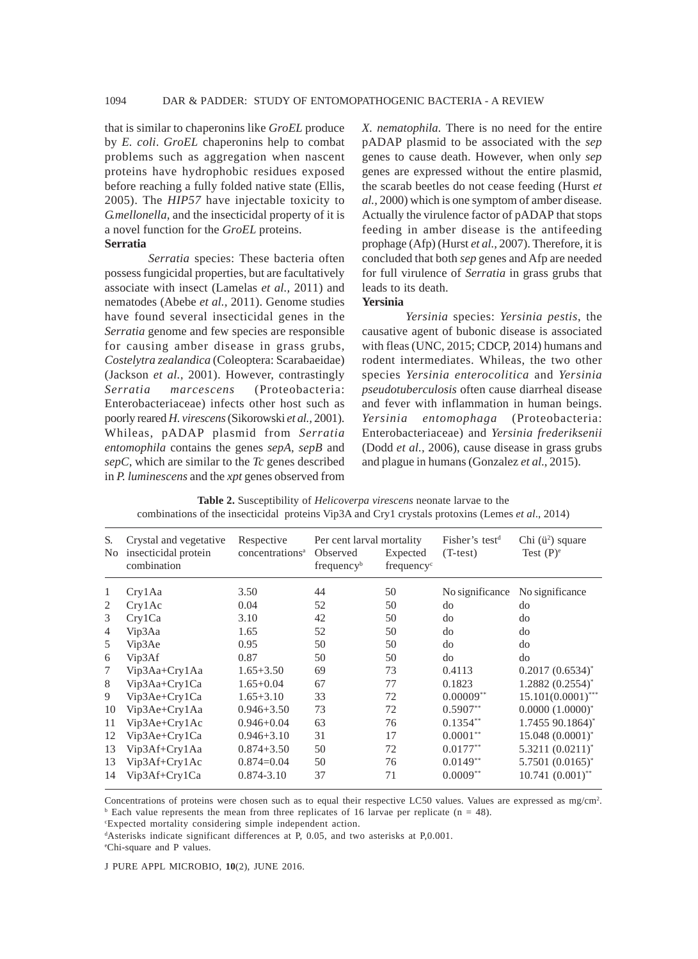that is similar to chaperonins like *GroEL* produce by *E. coli*. *GroEL* chaperonins help to combat problems such as aggregation when nascent proteins have hydrophobic residues exposed before reaching a fully folded native state (Ellis, 2005). The *HIP57* have injectable toxicity to *G.mellonella,* and the insecticidal property of it is a novel function for the *GroEL* proteins. **Serratia**

*Serratia* species: These bacteria often possess fungicidal properties, but are facultatively associate with insect (Lamelas *et al.,* 2011) and nematodes (Abebe *et al.,* 2011). Genome studies have found several insecticidal genes in the *Serratia* genome and few species are responsible for causing amber disease in grass grubs, *Costelytra zealandica* (Coleoptera: Scarabaeidae) (Jackson *et al.,* 2001). However, contrastingly *Serratia marcescens* (Proteobacteria: Enterobacteriaceae) infects other host such as poorly reared *H. virescens* (Sikorowski *et al.,* 2001). Whileas, pADAP plasmid from *Serratia entomophila* contains the genes *sepA, sepB* and *sepC*, which are similar to the *Tc* genes described in *P. luminescens* and the *xpt* genes observed from

*X. nematophila.* There is no need for the entire pADAP plasmid to be associated with the *sep* genes to cause death. However, when only *sep* genes are expressed without the entire plasmid, the scarab beetles do not cease feeding (Hurst *et al.,* 2000) which is one symptom of amber disease. Actually the virulence factor of pADAP that stops feeding in amber disease is the antifeeding prophage (Afp) (Hurst *et al.,* 2007). Therefore, it is concluded that both *sep* genes and Afp are needed for full virulence of *Serratia* in grass grubs that leads to its death.

# **Yersinia**

*Yersinia* species: *Yersinia pestis*, the causative agent of bubonic disease is associated with fleas (UNC, 2015; CDCP, 2014) humans and rodent intermediates. Whileas, the two other species *Yersinia enterocolitica* and *Yersinia pseudotuberculosis* often cause diarrheal disease and fever with inflammation in human beings. *Yersinia entomophaga* (Proteobacteria: Enterobacteriaceae) and *Yersinia frederiksenii* (Dodd *et al.,* 2006), cause disease in grass grubs and plague in humans (Gonzalez *et al*., 2015).

| S.<br>No.      | Crystal and vegetative<br>insecticidal protein<br>combination | Respective<br>concentrations <sup>a</sup> | Per cent larval mortality<br>Observed<br>frequency <sup>b</sup> | Expected<br>frequency <sup>c</sup> | Fisher's test <sup>d</sup><br>$(T-test)$ | Chi ( $\ddot{u}^2$ ) square<br>Test $(P)^e$ |
|----------------|---------------------------------------------------------------|-------------------------------------------|-----------------------------------------------------------------|------------------------------------|------------------------------------------|---------------------------------------------|
| 1              | Cry1Aa                                                        | 3.50                                      | 44                                                              | 50                                 | No significance                          | No significance                             |
| 2              | Crv1Ac                                                        | 0.04                                      | 52                                                              | 50                                 | do                                       | do                                          |
| 3              | Crv1Ca                                                        | 3.10                                      | 42                                                              | 50                                 | do                                       | do                                          |
| $\overline{4}$ | Vip3Aa                                                        | 1.65                                      | 52                                                              | 50                                 | do                                       | do                                          |
| 5              | Vip3Ae                                                        | 0.95                                      | 50                                                              | 50                                 | do                                       | do                                          |
| 6              | Vip3Af                                                        | 0.87                                      | 50                                                              | 50                                 | do                                       | do                                          |
| 7              | $Vip3Aa+Crv1Aa$                                               | $1.65 + 3.50$                             | 69                                                              | 73                                 | 0.4113                                   | $0.2017(0.6534)^{*}$                        |
| 8              | Vip3Aa+Cry1Ca                                                 | $1.65 + 0.04$                             | 67                                                              | 77                                 | 0.1823                                   | $1.2882(0.2554)^{*}$                        |
| 9              | Vip3Ae+Cry1Ca                                                 | $1.65 + 3.10$                             | 33                                                              | 72                                 | $0.00009**$                              | $15.101(0.0001)$ ***                        |
| 10             | Vip3Ae+Cry1Aa                                                 | $0.946 + 3.50$                            | 73                                                              | 72                                 | $0.5907**$                               | $0.0000(1.0000)^*$                          |
| 11             | $Vip3Ae+Cry1Ac$                                               | $0.946 + 0.04$                            | 63                                                              | 76                                 | $0.1354**$                               | 1.7455 90.1864)*                            |
| 12             | Vip3Ae+Cry1Ca                                                 | $0.946 + 3.10$                            | 31                                                              | 17                                 | $0.0001**$                               | $15.048(0.0001)^{*}$                        |
| 13             | Vip3Af+Cry1Aa                                                 | $0.874 + 3.50$                            | 50                                                              | 72                                 | $0.0177**$                               | $5.3211 (0.0211)^*$                         |
| 13             | Vip3Af+Cry1Ac                                                 | $0.874 = 0.04$                            | 50                                                              | 76                                 | $0.0149**$                               | $5.7501(0.0165)^{*}$                        |
| 14             | Vip3Af+Cry1Ca                                                 | $0.874 - 3.10$                            | 37                                                              | 71                                 | $0.0009**$                               | $10.741(0.001)$ **                          |

**Table 2.** Susceptibility of *Helicoverpa virescens* neonate larvae to the combinations of the insecticidal proteins Vip3A and Cry1 crystals protoxins (Lemes *et al*., 2014)

Concentrations of proteins were chosen such as to equal their respective LC50 values. Values are expressed as mg/cm<sup>2</sup>.  $b$  Each value represents the mean from three replicates of 16 larvae per replicate (n = 48).

c Expected mortality considering simple independent action.

d Asterisks indicate significant differences at P, 0.05, and two asterisks at P,0.001.

e Chi-square and P values.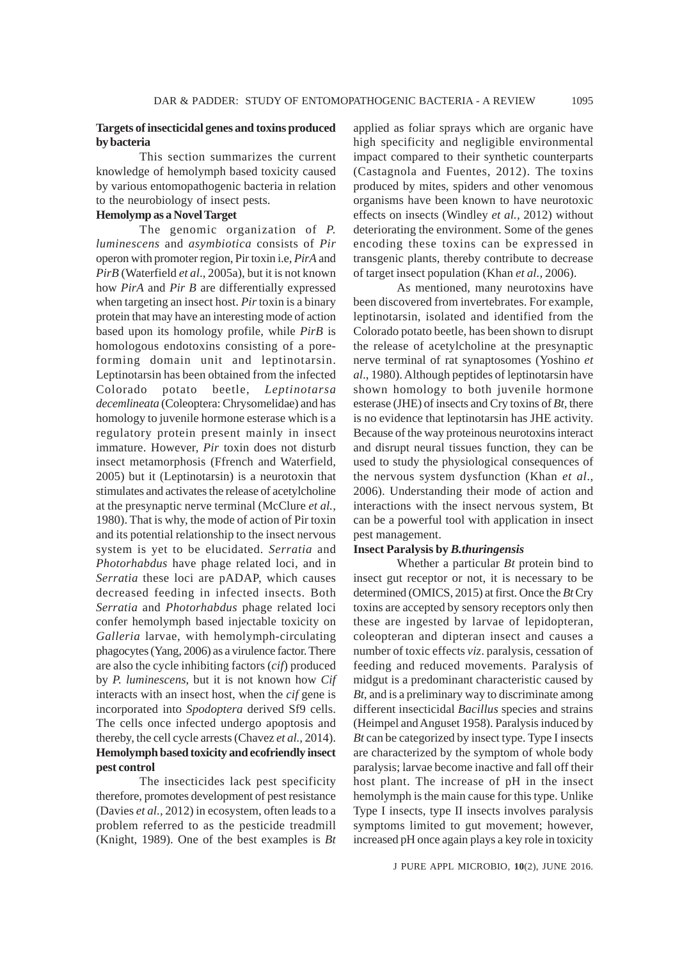## **Targets of insecticidal genes and toxins produced by bacteria**

This section summarizes the current knowledge of hemolymph based toxicity caused by various entomopathogenic bacteria in relation to the neurobiology of insect pests.

# **Hemolymp as a Novel Target**

The genomic organization of *P. luminescens* and *asymbiotica* consists of *Pir* operon with promoter region, Pir toxin i.e, *PirA* and *PirB* (Waterfield *et al*., 2005a), but it is not known how *PirA* and *Pir B* are differentially expressed when targeting an insect host. *Pir* toxin is a binary protein that may have an interesting mode of action based upon its homology profile, while *PirB* is homologous endotoxins consisting of a poreforming domain unit and leptinotarsin. Leptinotarsin has been obtained from the infected Colorado potato beetle, *Leptinotarsa decemlineata* (Coleoptera: Chrysomelidae) and has homology to juvenile hormone esterase which is a regulatory protein present mainly in insect immature. However, *Pir* toxin does not disturb insect metamorphosis (Ffrench and Waterfield, 2005) but it (Leptinotarsin) is a neurotoxin that stimulates and activates the release of acetylcholine at the presynaptic nerve terminal (McClure *et al.,* 1980). That is why, the mode of action of Pir toxin and its potential relationship to the insect nervous system is yet to be elucidated. *Serratia* and *Photorhabdus* have phage related loci, and in *Serratia* these loci are pADAP, which causes decreased feeding in infected insects. Both *Serratia* and *Photorhabdus* phage related loci confer hemolymph based injectable toxicity on *Galleria* larvae, with hemolymph-circulating phagocytes (Yang, 2006) as a virulence factor. There are also the cycle inhibiting factors (*cif*) produced by *P. luminescens*, but it is not known how *Cif* interacts with an insect host, when the *cif* gene is incorporated into *Spodoptera* derived Sf9 cells. The cells once infected undergo apoptosis and thereby, the cell cycle arrests (Chavez *et al.,* 2014). **Hemolymph based toxicity and ecofriendly insect pest control**

The insecticides lack pest specificity therefore, promotes development of pest resistance (Davies *et al.,* 2012) in ecosystem, often leads to a problem referred to as the pesticide treadmill (Knight, 1989). One of the best examples is *Bt*

applied as foliar sprays which are organic have high specificity and negligible environmental impact compared to their synthetic counterparts (Castagnola and Fuentes, 2012). The toxins produced by mites, spiders and other venomous organisms have been known to have neurotoxic effects on insects (Windley *et al.,* 2012) without deteriorating the environment. Some of the genes encoding these toxins can be expressed in transgenic plants, thereby contribute to decrease of target insect population (Khan *et al.,* 2006).

As mentioned, many neurotoxins have been discovered from invertebrates. For example, leptinotarsin, isolated and identified from the Colorado potato beetle, has been shown to disrupt the release of acetylcholine at the presynaptic nerve terminal of rat synaptosomes (Yoshino *et al*., 1980). Although peptides of leptinotarsin have shown homology to both juvenile hormone esterase (JHE) of insects and Cry toxins of *Bt*, there is no evidence that leptinotarsin has JHE activity. Because of the way proteinous neurotoxins interact and disrupt neural tissues function, they can be used to study the physiological consequences of the nervous system dysfunction (Khan *et al*., 2006). Understanding their mode of action and interactions with the insect nervous system, Bt can be a powerful tool with application in insect pest management.

#### **Insect Paralysis by** *B.thuringensis*

Whether a particular *Bt* protein bind to insect gut receptor or not, it is necessary to be determined (OMICS, 2015) at first. Once the *Bt* Cry toxins are accepted by sensory receptors only then these are ingested by larvae of lepidopteran, coleopteran and dipteran insect and causes a number of toxic effects *viz*. paralysis, cessation of feeding and reduced movements. Paralysis of midgut is a predominant characteristic caused by *Bt,* and is a preliminary way to discriminate among different insecticidal *Bacillus* species and strains (Heimpel and Anguset 1958). Paralysis induced by *Bt* can be categorized by insect type. Type I insects are characterized by the symptom of whole body paralysis; larvae become inactive and fall off their host plant. The increase of pH in the insect hemolymph is the main cause for this type. Unlike Type I insects, type II insects involves paralysis symptoms limited to gut movement; however, increased pH once again plays a key role in toxicity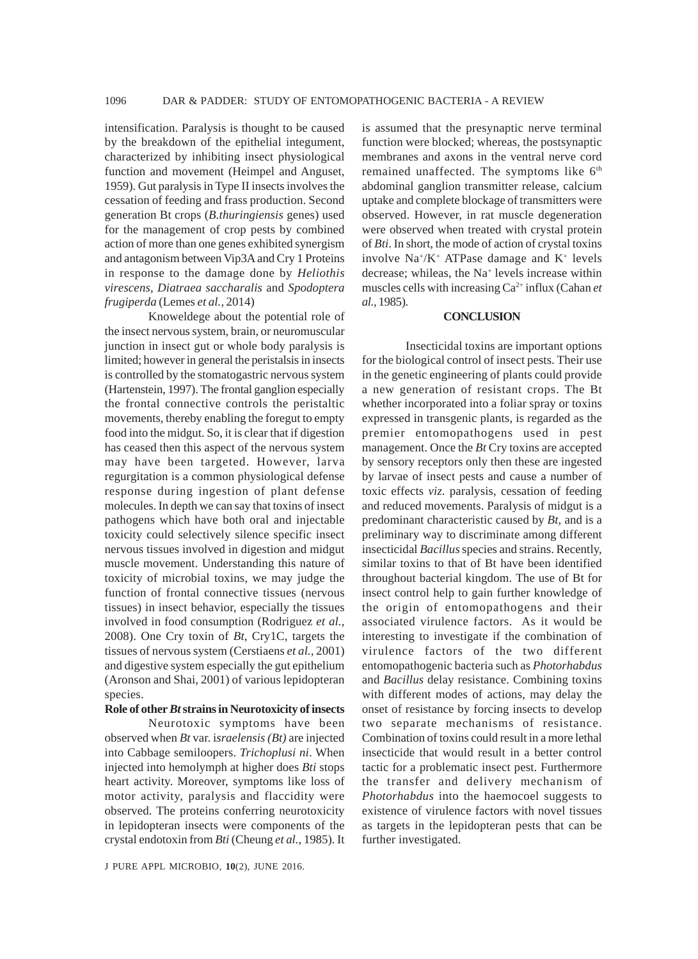intensification. Paralysis is thought to be caused by the breakdown of the epithelial integument, characterized by inhibiting insect physiological function and movement (Heimpel and Anguset, 1959). Gut paralysis in Type II insects involves the cessation of feeding and frass production. Second generation Bt crops (*B.thuringiensis* genes) used for the management of crop pests by combined action of more than one genes exhibited synergism and antagonism between Vip3A and Cry 1 Proteins in response to the damage done by *Heliothis virescens, Diatraea saccharalis* and *Spodoptera frugiperda* (Lemes *et al.,* 2014)

Knoweldege about the potential role of the insect nervous system, brain, or neuromuscular junction in insect gut or whole body paralysis is limited; however in general the peristalsis in insects is controlled by the stomatogastric nervous system (Hartenstein, 1997). The frontal ganglion especially the frontal connective controls the peristaltic movements, thereby enabling the foregut to empty food into the midgut. So, it is clear that if digestion has ceased then this aspect of the nervous system may have been targeted. However, larva regurgitation is a common physiological defense response during ingestion of plant defense molecules. In depth we can say that toxins of insect pathogens which have both oral and injectable toxicity could selectively silence specific insect nervous tissues involved in digestion and midgut muscle movement. Understanding this nature of toxicity of microbial toxins, we may judge the function of frontal connective tissues (nervous tissues) in insect behavior, especially the tissues involved in food consumption (Rodriguez *et al.,* 2008). One Cry toxin of *Bt*, Cry1C, targets the tissues of nervous system (Cerstiaens *et al.,* 2001) and digestive system especially the gut epithelium (Aronson and Shai, 2001) of various lepidopteran species.

## **Role of other** *Bt* **strains in Neurotoxicity of insects**

Neurotoxic symptoms have been observed when *Bt* var. i*sraelensis (Bt)* are injected into Cabbage semiloopers. *Trichoplusi ni*. When injected into hemolymph at higher does *Bti* stops heart activity. Moreover, symptoms like loss of motor activity, paralysis and flaccidity were observed. The proteins conferring neurotoxicity in lepidopteran insects were components of the crystal endotoxin from *Bti* (Cheung *et al.,* 1985). It

J PURE APPL MICROBIO*,* **10**(2), JUNE 2016.

is assumed that the presynaptic nerve terminal function were blocked; whereas, the postsynaptic membranes and axons in the ventral nerve cord remained unaffected. The symptoms like 6<sup>th</sup> abdominal ganglion transmitter release, calcium uptake and complete blockage of transmitters were observed. However, in rat muscle degeneration were observed when treated with crystal protein of *Bti*. In short, the mode of action of crystal toxins involve Na+ /K+ ATPase damage and K+ levels decrease; whileas, the Na<sup>+</sup> levels increase within muscles cells with increasing Ca2+ influx (Cahan *et al.,* 1985).

#### **CONCLUSION**

Insecticidal toxins are important options for the biological control of insect pests. Their use in the genetic engineering of plants could provide a new generation of resistant crops. The Bt whether incorporated into a foliar spray or toxins expressed in transgenic plants, is regarded as the premier entomopathogens used in pest management. Once the *Bt* Cry toxins are accepted by sensory receptors only then these are ingested by larvae of insect pests and cause a number of toxic effects *viz*. paralysis, cessation of feeding and reduced movements. Paralysis of midgut is a predominant characteristic caused by *Bt,* and is a preliminary way to discriminate among different insecticidal *Bacillus* species and strains. Recently, similar toxins to that of Bt have been identified throughout bacterial kingdom. The use of Bt for insect control help to gain further knowledge of the origin of entomopathogens and their associated virulence factors. As it would be interesting to investigate if the combination of virulence factors of the two different entomopathogenic bacteria such as *Photorhabdus* and *Bacillus* delay resistance. Combining toxins with different modes of actions, may delay the onset of resistance by forcing insects to develop two separate mechanisms of resistance. Combination of toxins could result in a more lethal insecticide that would result in a better control tactic for a problematic insect pest. Furthermore the transfer and delivery mechanism of *Photorhabdus* into the haemocoel suggests to existence of virulence factors with novel tissues as targets in the lepidopteran pests that can be further investigated.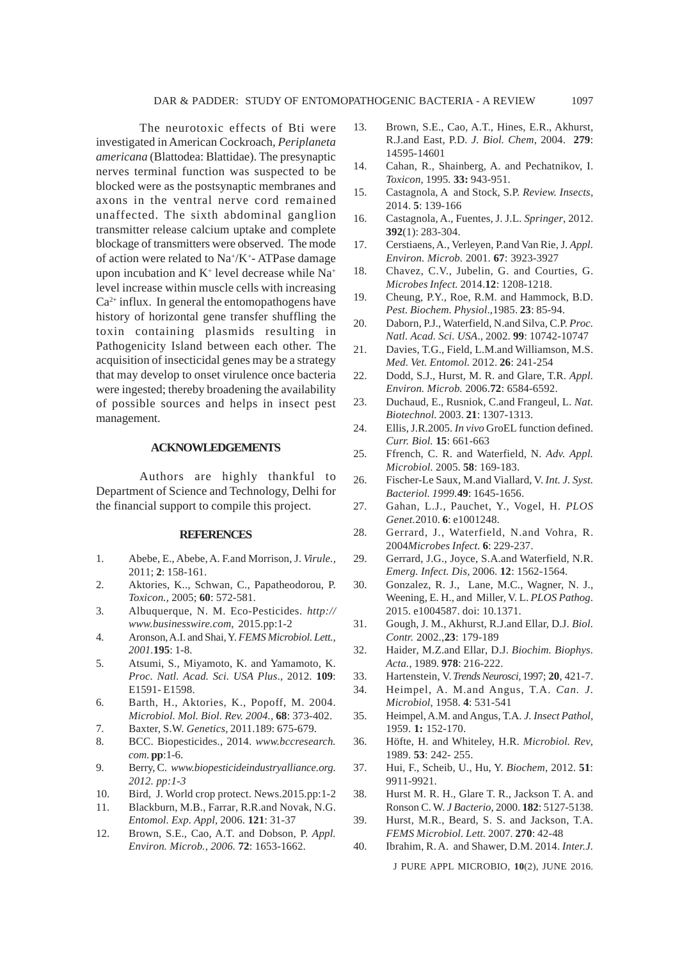The neurotoxic effects of Bti were investigated in American Cockroach, *Periplaneta americana* (Blattodea: Blattidae). The presynaptic nerves terminal function was suspected to be blocked were as the postsynaptic membranes and axons in the ventral nerve cord remained unaffected. The sixth abdominal ganglion transmitter release calcium uptake and complete blockage of transmitters were observed. The mode of action were related to Na<sup>+</sup>/K<sup>+</sup>- ATPase damage upon incubation and  $K^+$  level decrease while  $Na^+$ level increase within muscle cells with increasing  $Ca<sup>2+</sup>$  influx. In general the entomopathogens have history of horizontal gene transfer shuffling the toxin containing plasmids resulting in Pathogenicity Island between each other. The acquisition of insecticidal genes may be a strategy that may develop to onset virulence once bacteria were ingested; thereby broadening the availability of possible sources and helps in insect pest management.

#### **ACKNOWLEDGEMENTS**

Authors are highly thankful to Department of Science and Technology, Delhi for the financial support to compile this project.

#### **REFERENCES**

- 1. Abebe, E., Abebe, A. F.and Morrison, J. *Virule.,* 2011; **2**: 158-161.
- 2. Aktories, K.., Schwan, C., Papatheodorou, P. *Toxicon.,* 2005; **60**: 572-581.
- 3. Albuquerque, N. M. Eco-Pesticides. *http:// www.businesswire.com*, 2015.pp:1-2
- 4. Aronson, A.I. and Shai, Y. *FEMS Microbiol. Lett., 2001.***195**: 1-8.
- 5. Atsumi, S., Miyamoto, K. and Yamamoto, K. *Proc. Natl. Acad. Sci. USA Plus*., 2012. **109**: E1591- E1598.
- 6. Barth, H., Aktories, K., Popoff, M. 2004. *Microbiol. Mol. Biol. Rev. 2004.,* **68**: 373-402.
- 7. Baxter, S.W. *Genetics,* 2011.189: 675-679.
- 8. BCC. Biopesticides., 2014. *www.bccresearch. com*. **pp**:1-6.
- 9. Berry, C.*www.biopesticideindustryalliance.org. 2012. pp:1-3*
- 10. Bird, J. World crop protect. News.2015.pp:1-2
- 11. Blackburn, M.B., Farrar, R.R.and Novak, N.G. *Entomol. Exp. Appl,* 2006. **121**: 31-37
- 12. Brown, S.E., Cao, A.T. and Dobson, P. *Appl. Environ. Microb., 2006.* **72**: 1653-1662.
- 13. Brown, S.E., Cao, A.T., Hines, E.R., Akhurst, R.J.and East, P.D. *J. Biol. Chem*, 2004. **279**: 14595-14601
- 14. Cahan, R., Shainberg, A. and Pechatnikov, I. *Toxicon,* 1995*.* **33:** 943-951.
- 15. Castagnola, A and Stock, S.P. *Review. Insects,* 2014. **5**: 139-166
- 16. Castagnola, A., Fuentes, J. J.L. *Springer*, 2012. **392**(1): 283-304.
- 17. Cerstiaens, A., Verleyen, P.and Van Rie, J. *Appl. Environ. Microb.* 2001. **67**: 3923-3927
- 18. Chavez, C.V., Jubelin, G. and Courties, G. *Microbes Infect.* 2014.**12**: 1208-1218.
- 19. Cheung, P.Y., Roe, R.M. and Hammock, B.D. *Pest. Biochem. Physiol*.,1985. **23**: 85-94.
- 20. Daborn, P.J., Waterfield, N.and Silva, C.P. *Proc. Natl. Acad. Sci. USA*., 2002. **99**: 10742-10747
- 21. Davies, T.G., Field, L.M.and Williamson, M.S. *Med. Vet. Entomol.* 2012. **26**: 241-254
- 22. Dodd, S.J., Hurst, M. R. and Glare, T.R. *Appl. Environ. Microb.* 2006.**72**: 6584-6592.
- 23. Duchaud, E., Rusniok, C.and Frangeul, L. *Nat. Biotechnol.* 2003. **21**: 1307-1313.
- 24. Ellis, J.R.2005. *In vivo* GroEL function defined. *Curr. Biol.* **15**: 661-663
- 25. Ffrench, C. R. and Waterfield, N. *Adv. Appl. Microbiol.* 2005. **58**: 169-183.
- 26. Fischer-Le Saux, M.and Viallard, V. *Int. J. Syst. Bacteriol. 1999.***49**: 1645-1656.
- 27. Gahan, L.J., Pauchet, Y., Vogel, H. *PLOS Genet.*2010. **6**: e1001248.
- 28. Gerrard, J., Waterfield, N.and Vohra, R. 2004*Microbes Infect.* **6**: 229-237.
- 29. Gerrard, J.G., Joyce, S.A.and Waterfield, N.R. *Emerg. Infect. Dis,* 2006. **12**: 1562-1564.
- 30. Gonzalez, R. J., Lane, M.C., Wagner, N. J., Weening, E. H., and Miller, V. L. *PLOS Pathog*. 2015. e1004587. doi: 10.1371.
- 31. Gough, J. M., Akhurst, R.J.and Ellar, D.J. *Biol. Contr.* 2002.,**23**: 179-189
- 32. Haider, M.Z.and Ellar, D.J. *Biochim. Biophys. Acta.,* 1989*.* **978**: 216-222.
- 33. Hartenstein, V. *Trends Neurosci,* 1997; **20**, 421-7.
- 34. Heimpel, A. M.and Angus, T.A. *Can. J. Microbiol*, 1958. **4**: 531-541
- 35. Heimpel, A.M. and Angus, T.A. *J. Insect Pathol,* 1959. **1:** 152-170.
- 36. Höfte, H. and Whiteley, H.R. *Microbiol. Rev*, 1989. **53**: 242- 255.
- 37. Hui, F., Scheib, U., Hu, Y. *Biochem,* 2012. **51**: 9911-9921.
- 38. Hurst M. R. H., Glare T. R., Jackson T. A. and Ronson C. W. *J Bacterio*, 2000. **182**: 5127-5138.
- 39. Hurst, M.R., Beard, S. S. and Jackson, T.A. *FEMS Microbiol. Lett.* 2007*.* **270**: 42-48
- 40. Ibrahim, R. A. and Shawer, D.M. 2014. *Inter.J.*